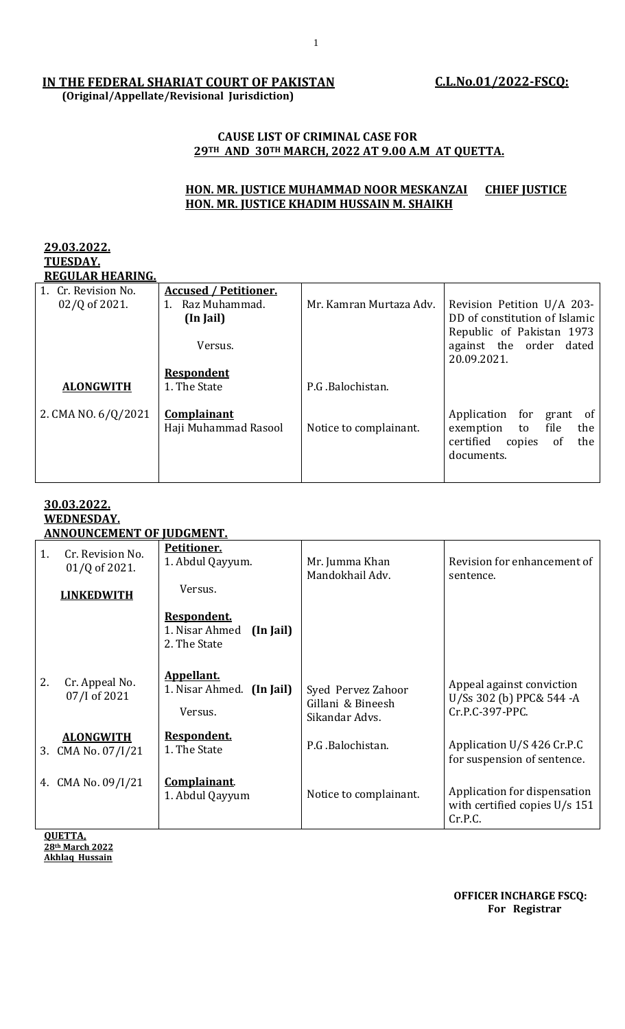# **IN THE FEDERAL SHARIAT COURT OF PAKISTAN**

 **(Original/Appellate/Revisional Jurisdiction)**

# **C.L.No.01/2022-FSCQ:**

#### **CAUSE LIST OF CRIMINAL CASE FOR 29TH AND 30TH MARCH, 2022 AT 9.00 A.M AT QUETTA.**

## **HON. MR. JUSTICE MUHAMMAD NOOR MESKANZAI CHIEF JUSTICE HON. MR. JUSTICE KHADIM HUSSAIN M. SHAIKH**

#### **29.03.2022. TUESDAY. REGULAR HEARING.**

| Regular Hearing.    |                              |                         |                                  |
|---------------------|------------------------------|-------------------------|----------------------------------|
| 1. Cr. Revision No. | <b>Accused / Petitioner.</b> |                         |                                  |
| 02/Q of 2021.       | Raz Muhammad.<br>1.          | Mr. Kamran Murtaza Adv. | Revision Petition U/A 203-       |
|                     | (In Jail)                    |                         | DD of constitution of Islamic    |
|                     |                              |                         | Republic of Pakistan 1973        |
|                     | Versus.                      |                         | against the order dated          |
|                     |                              |                         | 20.09.2021.                      |
|                     | <b>Respondent</b>            |                         |                                  |
| <b>ALONGWITH</b>    | 1. The State                 | P.G.Balochistan.        |                                  |
|                     |                              |                         |                                  |
| 2. CMA NO. 6/Q/2021 | Complainant                  |                         | Application for grant<br>of      |
|                     | Haji Muhammad Rasool         | Notice to complainant.  | file<br>the<br>exemption<br>to   |
|                     |                              |                         | certified<br>the<br>copies<br>of |
|                     |                              |                         | documents.                       |
|                     |                              |                         |                                  |
|                     |                              |                         |                                  |

#### **30.03.2022. WEDNESDAY. ANNOUNCEMENT OF JUDGMENT.**

| Petitioner.<br>1. Abdul Qayyum.                            | Mr. Jumma Khan<br>Mandokhail Adv.                         | Revision for enhancement of<br>sentence.                                   |
|------------------------------------------------------------|-----------------------------------------------------------|----------------------------------------------------------------------------|
|                                                            |                                                           |                                                                            |
| Respondent.<br>1. Nisar Ahmed<br>(In Jail)<br>2. The State |                                                           |                                                                            |
| Appellant.<br>1. Nisar Ahmed. (In Jail)<br>Versus.         | Syed Pervez Zahoor<br>Gillani & Bineesh<br>Sikandar Advs. | Appeal against conviction<br>U/Ss 302 (b) PPC& 544 -A<br>Cr.P.C-397-PPC.   |
| Respondent.<br>1. The State                                | P.G.Balochistan.                                          | Application U/S 426 Cr.P.C<br>for suspension of sentence.                  |
| Complainant.<br>1. Abdul Qayyum                            | Notice to complainant.                                    | Application for dispensation<br>with certified copies $U/s$ 151<br>Cr.P.C. |
|                                                            | Versus.                                                   |                                                                            |

 **OFFICER INCHARGE FSCQ: For Registrar**